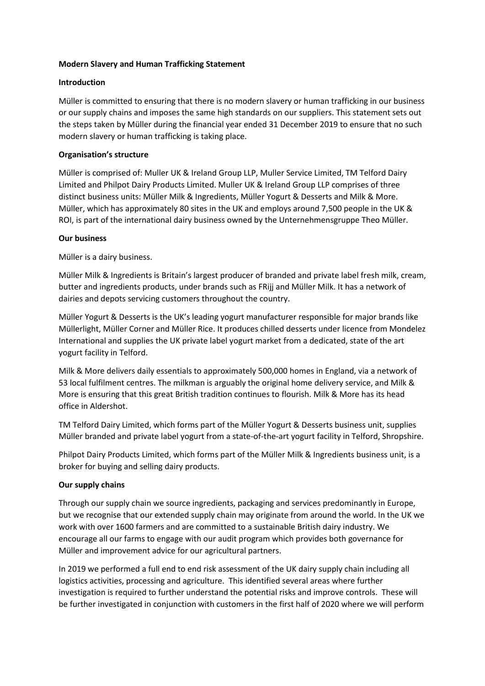### **Modern Slavery and Human Trafficking Statement**

### **Introduction**

Müller is committed to ensuring that there is no modern slavery or human trafficking in our business or our supply chains and imposes the same high standards on our suppliers. This statement sets out the steps taken by Müller during the financial year ended 31 December 2019 to ensure that no such modern slavery or human trafficking is taking place.

### **Organisation's structure**

Müller is comprised of: Muller UK & Ireland Group LLP, Muller Service Limited, TM Telford Dairy Limited and Philpot Dairy Products Limited. Muller UK & Ireland Group LLP comprises of three distinct business units: Müller Milk & Ingredients, Müller Yogurt & Desserts and Milk & More. Müller, which has approximately 80 sites in the UK and employs around 7,500 people in the UK & ROI, is part of the international dairy business owned by the Unternehmensgruppe Theo Müller.

### **Our business**

Müller is a dairy business.

Müller Milk & Ingredients is Britain's largest producer of branded and private label fresh milk, cream, butter and ingredients products, under brands such as FRijj and Müller Milk. It has a network of dairies and depots servicing customers throughout the country.

Müller Yogurt & Desserts is the UK's leading yogurt manufacturer responsible for major brands like Müllerlight, Müller Corner and Müller Rice. It produces chilled desserts under licence from Mondelez International and supplies the UK private label yogurt market from a dedicated, state of the art yogurt facility in Telford.

Milk & More delivers daily essentials to approximately 500,000 homes in England, via a network of 53 local fulfilment centres. The milkman is arguably the original home delivery service, and Milk & More is ensuring that this great British tradition continues to flourish. Milk & More has its head office in Aldershot.

TM Telford Dairy Limited, which forms part of the Müller Yogurt & Desserts business unit, supplies Müller branded and private label yogurt from a state-of-the-art yogurt facility in Telford, Shropshire.

Philpot Dairy Products Limited, which forms part of the Müller Milk & Ingredients business unit, is a broker for buying and selling dairy products.

## **Our supply chains**

Through our supply chain we source ingredients, packaging and services predominantly in Europe, but we recognise that our extended supply chain may originate from around the world. In the UK we work with over 1600 farmers and are committed to a sustainable British dairy industry. We encourage all our farms to engage with our audit program which provides both governance for Müller and improvement advice for our agricultural partners.

In 2019 we performed a full end to end risk assessment of the UK dairy supply chain including all logistics activities, processing and agriculture. This identified several areas where further investigation is required to further understand the potential risks and improve controls. These will be further investigated in conjunction with customers in the first half of 2020 where we will perform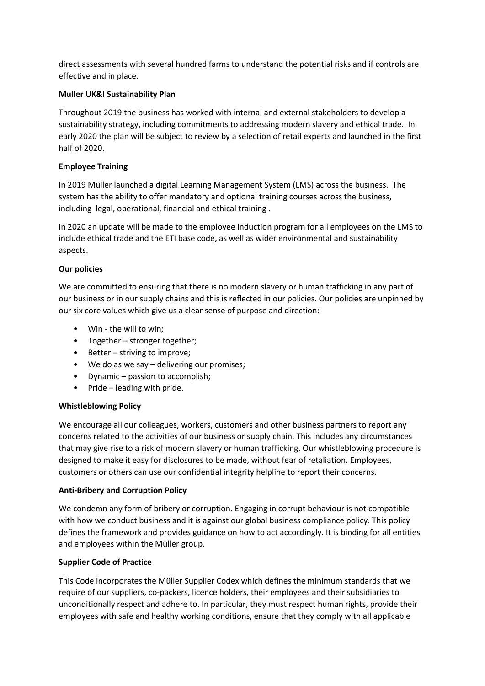direct assessments with several hundred farms to understand the potential risks and if controls are effective and in place.

## **Muller UK&I Sustainability Plan**

Throughout 2019 the business has worked with internal and external stakeholders to develop a sustainability strategy, including commitments to addressing modern slavery and ethical trade. In early 2020 the plan will be subject to review by a selection of retail experts and launched in the first half of 2020.

## **Employee Training**

In 2019 Müller launched a digital Learning Management System (LMS) across the business. The system has the ability to offer mandatory and optional training courses across the business, including legal, operational, financial and ethical training .

In 2020 an update will be made to the employee induction program for all employees on the LMS to include ethical trade and the ETI base code, as well as wider environmental and sustainability aspects.

# **Our policies**

We are committed to ensuring that there is no modern slavery or human trafficking in any part of our business or in our supply chains and this is reflected in our policies. Our policies are unpinned by our six core values which give us a clear sense of purpose and direction:

- Win the will to win;
- Together stronger together;
- Better striving to improve;
- We do as we say delivering our promises;
- Dynamic passion to accomplish;
- Pride leading with pride.

## **Whistleblowing Policy**

We encourage all our colleagues, workers, customers and other business partners to report any concerns related to the activities of our business or supply chain. This includes any circumstances that may give rise to a risk of modern slavery or human trafficking. Our whistleblowing procedure is designed to make it easy for disclosures to be made, without fear of retaliation. Employees, customers or others can use our confidential integrity helpline to report their concerns.

## **Anti-Bribery and Corruption Policy**

We condemn any form of bribery or corruption. Engaging in corrupt behaviour is not compatible with how we conduct business and it is against our global business compliance policy. This policy defines the framework and provides guidance on how to act accordingly. It is binding for all entities and employees within the Müller group.

## **Supplier Code of Practice**

This Code incorporates the Müller Supplier Codex which defines the minimum standards that we require of our suppliers, co-packers, licence holders, their employees and their subsidiaries to unconditionally respect and adhere to. In particular, they must respect human rights, provide their employees with safe and healthy working conditions, ensure that they comply with all applicable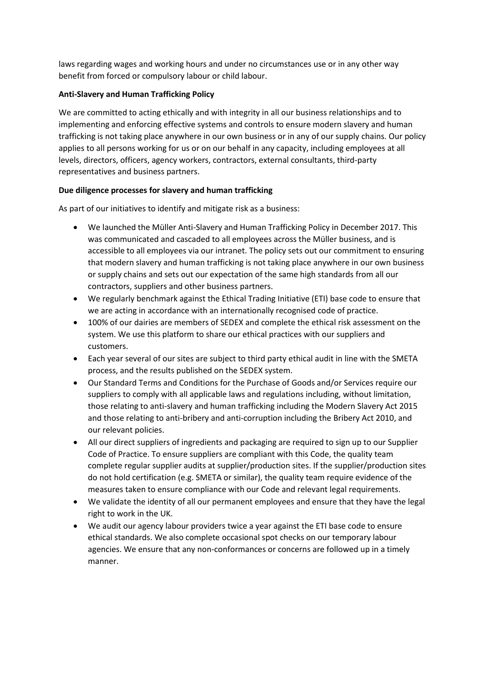laws regarding wages and working hours and under no circumstances use or in any other way benefit from forced or compulsory labour or child labour.

## **Anti-Slavery and Human Trafficking Policy**

We are committed to acting ethically and with integrity in all our business relationships and to implementing and enforcing effective systems and controls to ensure modern slavery and human trafficking is not taking place anywhere in our own business or in any of our supply chains. Our policy applies to all persons working for us or on our behalf in any capacity, including employees at all levels, directors, officers, agency workers, contractors, external consultants, third-party representatives and business partners.

# **Due diligence processes for slavery and human trafficking**

As part of our initiatives to identify and mitigate risk as a business:

- We launched the Müller Anti-Slavery and Human Trafficking Policy in December 2017. This was communicated and cascaded to all employees across the Müller business, and is accessible to all employees via our intranet. The policy sets out our commitment to ensuring that modern slavery and human trafficking is not taking place anywhere in our own business or supply chains and sets out our expectation of the same high standards from all our contractors, suppliers and other business partners.
- We regularly benchmark against the Ethical Trading Initiative (ETI) base code to ensure that we are acting in accordance with an internationally recognised code of practice.
- 100% of our dairies are members of SEDEX and complete the ethical risk assessment on the system. We use this platform to share our ethical practices with our suppliers and customers.
- Each year several of our sites are subject to third party ethical audit in line with the SMETA process, and the results published on the SEDEX system.
- Our Standard Terms and Conditions for the Purchase of Goods and/or Services require our suppliers to comply with all applicable laws and regulations including, without limitation, those relating to anti-slavery and human trafficking including the Modern Slavery Act 2015 and those relating to anti-bribery and anti-corruption including the Bribery Act 2010, and our relevant policies.
- All our direct suppliers of ingredients and packaging are required to sign up to our Supplier Code of Practice. To ensure suppliers are compliant with this Code, the quality team complete regular supplier audits at supplier/production sites. If the supplier/production sites do not hold certification (e.g. SMETA or similar), the quality team require evidence of the measures taken to ensure compliance with our Code and relevant legal requirements.
- We validate the identity of all our permanent employees and ensure that they have the legal right to work in the UK.
- We audit our agency labour providers twice a year against the ETI base code to ensure ethical standards. We also complete occasional spot checks on our temporary labour agencies. We ensure that any non-conformances or concerns are followed up in a timely manner.